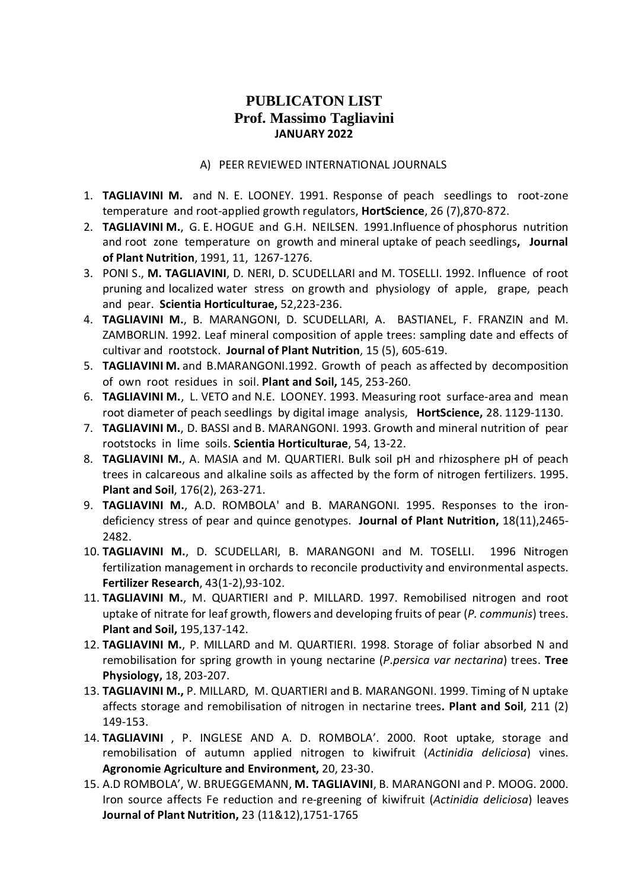# **PUBLICATON LIST Prof. Massimo Tagliavini JANUARY 2022**

#### A) PEER REVIEWED INTERNATIONAL JOURNALS

- 1. **TAGLIAVINI M.** and N. E. LOONEY. 1991. Response of peach seedlings to root-zone temperature and root-applied growth regulators, **HortScience**, 26 (7),870-872.
- 2. **TAGLIAVINI M.**, G. E. HOGUE and G.H. NEILSEN. 1991.Influence of phosphorus nutrition and root zone temperature on growth and mineral uptake of peach seedlings**, Journal of Plant Nutrition**, 1991, 11, 1267-1276.
- 3. PONI S., **M. TAGLIAVINI**, D. NERI, D. SCUDELLARI and M. TOSELLI. 1992. Influence of root pruning and localized water stress on growth and physiology of apple, grape, peach and pear. **Scientia Horticulturae,** 52,223-236.
- 4. **TAGLIAVINI M.**, B. MARANGONI, D. SCUDELLARI, A. BASTIANEL, F. FRANZIN and M. ZAMBORLIN. 1992. Leaf mineral composition of apple trees: sampling date and effects of cultivar and rootstock. **Journal of Plant Nutrition**, 15 (5), 605-619.
- 5. **TAGLIAVINI M.** and B.MARANGONI.1992. Growth of peach as affected by decomposition of own root residues in soil. **Plant and Soil,** 145, 253-260.
- 6. **TAGLIAVINI M.**, L. VETO and N.E. LOONEY. 1993. Measuring root surface-area and mean root diameter of peach seedlings by digital image analysis, **HortScience,** 28. 1129-1130.
- 7. **TAGLIAVINI M.**, D. BASSI and B. MARANGONI. 1993. Growth and mineral nutrition of pear rootstocks in lime soils. **Scientia Horticulturae**, 54, 13-22.
- 8. **TAGLIAVINI M.**, A. MASIA and M. QUARTIERI. Bulk soil pH and rhizosphere pH of peach trees in calcareous and alkaline soils as affected by the form of nitrogen fertilizers. 1995. **Plant and Soil**, 176(2), 263-271.
- 9. **TAGLIAVINI M.**, A.D. ROMBOLA' and B. MARANGONI. 1995. Responses to the irondeficiency stress of pear and quince genotypes. **Journal of Plant Nutrition,** 18(11),2465- 2482.
- 10. **TAGLIAVINI M.**, D. SCUDELLARI, B. MARANGONI and M. TOSELLI. 1996 Nitrogen fertilization management in orchards to reconcile productivity and environmental aspects. **Fertilizer Research**, 43(1-2),93-102.
- 11. **TAGLIAVINI M.**, M. QUARTIERI and P. MILLARD. 1997. Remobilised nitrogen and root uptake of nitrate for leaf growth, flowers and developing fruits of pear (*P. communis*) trees. **Plant and Soil,** 195,137-142.
- 12. **TAGLIAVINI M.**, P. MILLARD and M. QUARTIERI. 1998. Storage of foliar absorbed N and remobilisation for spring growth in young nectarine (*P.persica var nectarina*) trees. **Tree Physiology,** 18, 203-207.
- 13. **TAGLIAVINI M.,** P. MILLARD, M. QUARTIERI and B. MARANGONI. 1999. Timing of N uptake affects storage and remobilisation of nitrogen in nectarine trees**. Plant and Soil**, 211 (2) 149-153.
- 14. **TAGLIAVINI** , P. INGLESE AND A. D. ROMBOLA'. 2000. Root uptake, storage and remobilisation of autumn applied nitrogen to kiwifruit (*Actinidia deliciosa*) vines. **Agronomie Agriculture and Environment,** 20, 23-30.
- 15. A.D ROMBOLA', W. BRUEGGEMANN, **M. TAGLIAVINI**, B. MARANGONI and P. MOOG. 2000. Iron source affects Fe reduction and re-greening of kiwifruit (*Actinidia deliciosa*) leaves **Journal of Plant Nutrition,** 23 (11&12),1751-1765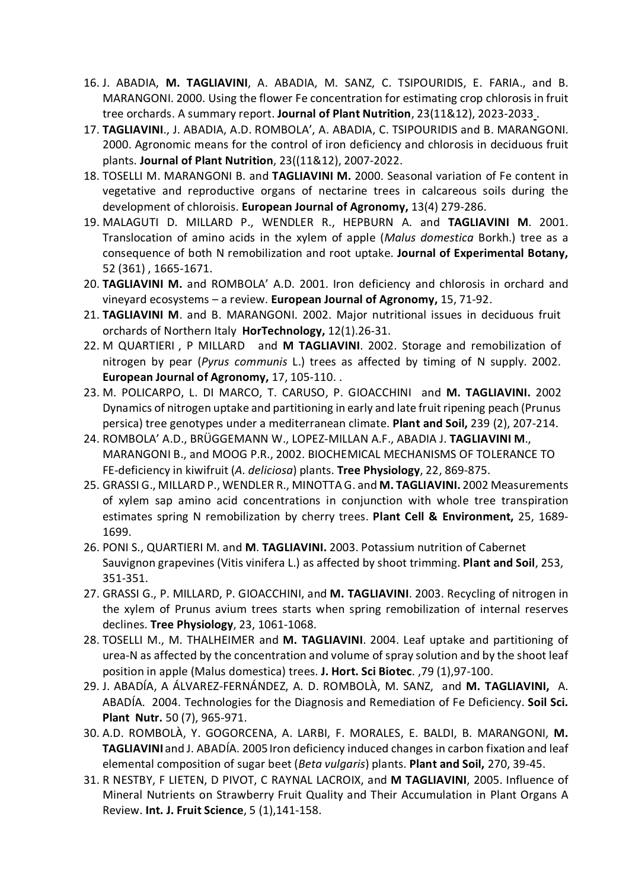- 16. J. ABADIA, **M. TAGLIAVINI**, A. ABADIA, M. SANZ, C. TSIPOURIDIS, E. FARIA., and B. MARANGONI. 2000. Using the flower Fe concentration for estimating crop chlorosis in fruit tree orchards. A summary report. **Journal of Plant Nutrition**, 23(11&12), 2023-2033 .
- 17. **TAGLIAVINI**., J. ABADIA, A.D. ROMBOLA', A. ABADIA, C. TSIPOURIDIS and B. MARANGONI. 2000. Agronomic means for the control of iron deficiency and chlorosis in deciduous fruit plants. **Journal of Plant Nutrition**, 23((11&12), 2007-2022.
- 18. TOSELLI M. MARANGONI B. and **TAGLIAVINI M.** 2000. Seasonal variation of Fe content in vegetative and reproductive organs of nectarine trees in calcareous soils during the development of chloroisis. **European Journal of Agronomy,** 13(4) 279-286.
- 19. MALAGUTI D. MILLARD P., WENDLER R., HEPBURN A. and **TAGLIAVINI M**. 2001. Translocation of amino acids in the xylem of apple (*Malus domestica* Borkh.) tree as a consequence of both N remobilization and root uptake. **Journal of Experimental Botany,** 52 (361) , 1665-1671.
- 20. **TAGLIAVINI M.** and ROMBOLA' A.D. 2001. Iron deficiency and chlorosis in orchard and vineyard ecosystems – a review. **European Journal of Agronomy,** 15, 71-92.
- 21. **TAGLIAVINI M**. and B. MARANGONI. 2002. Major nutritional issues in deciduous fruit orchards of Northern Italy **HorTechnology,** 12(1).26-31.
- 22. M QUARTIERI , P MILLARD and **M TAGLIAVINI**. 2002. Storage and remobilization of nitrogen by pear (*Pyrus communis* L.) trees as affected by timing of N supply. 2002. **European Journal of Agronomy,** 17, 105-110. .
- 23. M. POLICARPO, L. DI MARCO, T. CARUSO, P. GIOACCHINI and **M. TAGLIAVINI.** 2002 Dynamics of nitrogen uptake and partitioning in early and late fruit ripening peach (Prunus persica) tree genotypes under a mediterranean climate. **Plant and Soil,** 239 (2), 207-214.
- 24. ROMBOLA' A.D., BRÜGGEMANN W., LOPEZ-MILLAN A.F., ABADIA J. **TAGLIAVINI M**., MARANGONI B., and MOOG P.R., 2002. BIOCHEMICAL MECHANISMS OF TOLERANCE TO FE-deficiency in kiwifruit (*A. deliciosa*) plants. **Tree Physiology**, 22, 869-875.
- 25. GRASSI G., MILLARD P., WENDLER R., MINOTTA G. and **M. TAGLIAVINI.** 2002 Measurements of xylem sap amino acid concentrations in conjunction with whole tree transpiration estimates spring N remobilization by cherry trees. **Plant Cell & Environment,** 25, 1689- 1699.
- 26. PONI S., QUARTIERI M. and **M**. **TAGLIAVINI.** 2003. Potassium nutrition of Cabernet Sauvignon grapevines (Vitis vinifera L.) as affected by shoot trimming. **Plant and Soil**, 253, 351-351.
- 27. GRASSI G., P. MILLARD, P. GIOACCHINI, and **M. TAGLIAVINI**. 2003. Recycling of nitrogen in the xylem of Prunus avium trees starts when spring remobilization of internal reserves declines. **Tree Physiology**, 23, 1061-1068.
- 28. TOSELLI M., M. THALHEIMER and **M. TAGLIAVINI**. 2004. Leaf uptake and partitioning of urea-N as affected by the concentration and volume of spray solution and by the shoot leaf position in apple (Malus domestica) trees. **J. Hort. Sci Biotec**. ,79 (1),97-100.
- 29. J. ABADÍA, A ÁLVAREZ-FERNÁNDEZ, A. D. ROMBOLÀ, M. SANZ, and **M. TAGLIAVINI,** A. ABADÍA. 2004. Technologies for the Diagnosis and Remediation of Fe Deficiency. **Soil Sci. Plant Nutr.** 50 (7), 965-971.
- 30. A.D. ROMBOLÀ, Y. GOGORCENA, A. LARBI, F. MORALES, E. BALDI, B. MARANGONI, **M. TAGLIAVINI** and J. ABADÍA. 2005 Iron deficiency induced changes in carbon fixation and leaf elemental composition of sugar beet (*Beta vulgaris*) plants. **Plant and Soil,** 270, 39-45.
- 31. R NESTBY, F LIETEN, D PIVOT, C RAYNAL LACROIX, and **M TAGLIAVINI**, 2005. Influence of Mineral Nutrients on Strawberry Fruit Quality and Their Accumulation in Plant Organs A Review. **Int. J. Fruit Science**, 5 (1),141-158.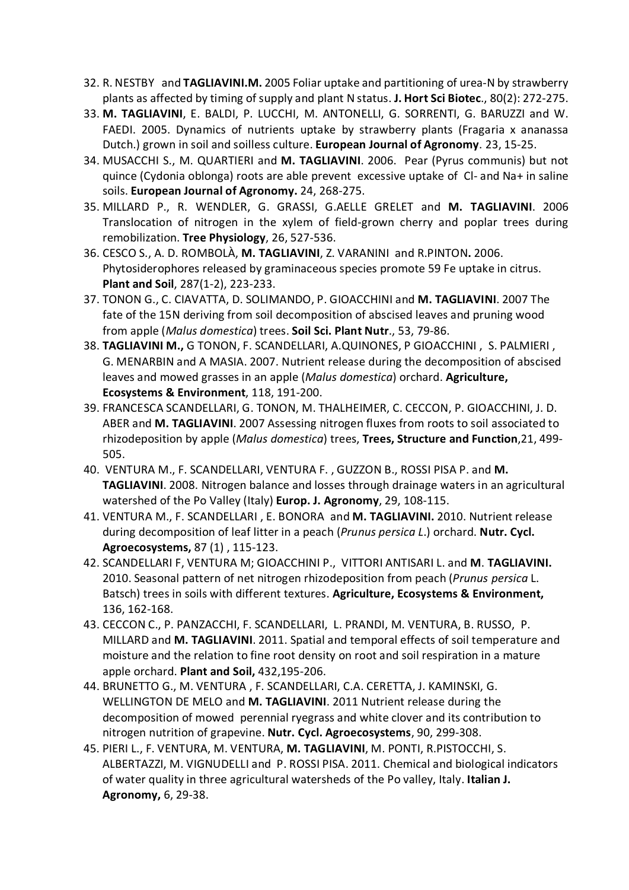- 32. R. NESTBY and **TAGLIAVINI.M.** 2005 Foliar uptake and partitioning of urea-N by strawberry plants as affected by timing of supply and plant N status. **J. Hort Sci Biotec**., 80(2): 272-275.
- 33. **M. TAGLIAVINI**, E. BALDI, P. LUCCHI, M. ANTONELLI, G. SORRENTI, G. BARUZZI and W. FAEDI. 2005. Dynamics of nutrients uptake by strawberry plants (Fragaria x ananassa Dutch.) grown in soil and soilless culture. **European Journal of Agronomy**. 23, 15-25.
- 34. MUSACCHI S., M. QUARTIERI and **M. TAGLIAVINI**. 2006. Pear (Pyrus communis) but not quince (Cydonia oblonga) roots are able prevent excessive uptake of Cl- and Na+ in saline soils. **European Journal of Agronomy.** 24, 268-275.
- 35. MILLARD P., R. WENDLER, G. GRASSI, G.AELLE GRELET and **M. TAGLIAVINI**. 2006 Translocation of nitrogen in the xylem of field-grown cherry and poplar trees during remobilization. **Tree Physiology**, 26, 527-536.
- 36. CESCO S., A. D. ROMBOLÀ, **M. TAGLIAVINI**, Z. VARANINI and R.PINTON**.** 2006. Phytosiderophores released by graminaceous species promote 59 Fe uptake in citrus. **Plant and Soil**, 287(1-2), 223-233.
- 37. TONON G., C. CIAVATTA, D. SOLIMANDO, P. GIOACCHINI and **M. TAGLIAVINI**. 2007 The fate of the 15N deriving from soil decomposition of abscised leaves and pruning wood from apple (*Malus domestica*) trees. **Soil Sci. Plant Nutr**., 53, 79-86.
- 38. **TAGLIAVINI M.,** G TONON, F. SCANDELLARI, A.QUINONES, P GIOACCHINI , S. PALMIERI , G. MENARBIN and A MASIA. 2007. Nutrient release during the decomposition of abscised leaves and mowed grasses in an apple (*Malus domestica*) orchard. **Agriculture, Ecosystems & Environment**, 118, 191-200.
- 39. FRANCESCA SCANDELLARI, G. TONON, M. THALHEIMER, C. CECCON, P. GIOACCHINI, J. D. ABER and **M. TAGLIAVINI**. 2007 Assessing nitrogen fluxes from roots to soil associated to rhizodeposition by apple (*Malus domestica*) trees, **Trees, Structure and Function**,21, 499- 505.
- 40. VENTURA M., F. SCANDELLARI, VENTURA F. , GUZZON B., ROSSI PISA P. and **M. TAGLIAVINI**. 2008. Nitrogen balance and losses through drainage waters in an agricultural watershed of the Po Valley (Italy) **Europ. J. Agronomy**, 29, 108-115.
- 41. VENTURA M., F. SCANDELLARI , E. BONORA and **M. TAGLIAVINI.** 2010. Nutrient release during decomposition of leaf litter in a peach (*Prunus persica L*.) orchard. **Nutr. Cycl. Agroecosystems,** 87 (1) , 115-123.
- 42. SCANDELLARI F, VENTURA M; GIOACCHINI P., VITTORI ANTISARI L. and **M**. **TAGLIAVINI.**  2010. Seasonal pattern of net nitrogen rhizodeposition from peach (*Prunus persica* L. Batsch) trees in soils with different textures. **Agriculture, Ecosystems & Environment,**  136, 162-168.
- 43. CECCON C., P. PANZACCHI, F. SCANDELLARI, L. PRANDI, M. VENTURA, B. RUSSO, P. MILLARD and **M. TAGLIAVINI**. 2011. Spatial and temporal effects of soil temperature and moisture and the relation to fine root density on root and soil respiration in a mature apple orchard. **Plant and Soil,** 432,195-206.
- 44. BRUNETTO G., M. VENTURA , F. SCANDELLARI, C.A. CERETTA, J. KAMINSKI, G. WELLINGTON DE MELO and **M. TAGLIAVINI**. 2011 Nutrient release during the decomposition of mowed perennial ryegrass and white clover and its contribution to nitrogen nutrition of grapevine. **Nutr. Cycl. Agroecosystems**, 90, 299-308.
- 45. PIERI L., F. VENTURA, M. VENTURA, **M. TAGLIAVINI**, M. PONTI, R.PISTOCCHI, S. ALBERTAZZI, M. VIGNUDELLI and P. ROSSI PISA. 2011. Chemical and biological indicators of water quality in three agricultural watersheds of the Po valley, Italy. **Italian J. Agronomy,** 6, 29-38.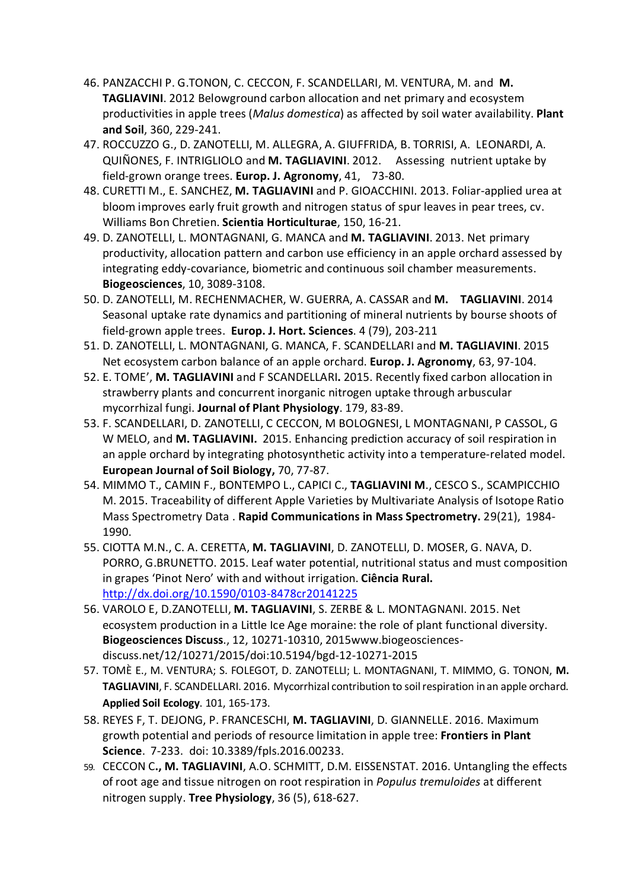- 46. PANZACCHI P. G.TONON, C. CECCON, F. SCANDELLARI, M. VENTURA, M. and **M. TAGLIAVINI**. 2012 Belowground carbon allocation and net primary and ecosystem productivities in apple trees (*Malus domestica*) as affected by soil water availability. **Plant and Soil**, 360, 229-241.
- 47. ROCCUZZO G., D. ZANOTELLI, M. ALLEGRA, A. GIUFFRIDA, B. TORRISI, A. LEONARDI, A. QUIÑONES, F. INTRIGLIOLO and **M. TAGLIAVINI**. 2012. Assessing nutrient uptake by field-grown orange trees. **Europ. J. Agronomy**, 41, 73-80.
- 48. CURETTI M., E. SANCHEZ, **M. TAGLIAVINI** and P. GIOACCHINI. 2013. Foliar-applied urea at bloom improves early fruit growth and nitrogen status of spur leaves in pear trees, cv. Williams Bon Chretien. **Scientia Horticulturae**, 150, 16-21.
- 49. D. ZANOTELLI, L. MONTAGNANI, G. MANCA and **M. TAGLIAVINI**. 2013. Net primary productivity, allocation pattern and carbon use efficiency in an apple orchard assessed by integrating eddy-covariance, biometric and continuous soil chamber measurements. **Biogeosciences**, 10, 3089-3108.
- 50. D. ZANOTELLI, M. RECHENMACHER, W. GUERRA, A. CASSAR and **M. TAGLIAVINI**. 2014 Seasonal uptake rate dynamics and partitioning of mineral nutrients by bourse shoots of field-grown apple trees. **Europ. J. Hort. Sciences**. 4 (79), 203-211
- 51. D. ZANOTELLI, L. MONTAGNANI, G. MANCA, F. SCANDELLARI and **M. TAGLIAVINI**. 2015 Net ecosystem carbon balance of an apple orchard. **Europ. J. Agronomy**, 63, 97-104.
- 52. E. TOME', **M. TAGLIAVINI** and F SCANDELLARI**.** 2015. Recently fixed carbon allocation in strawberry plants and concurrent inorganic nitrogen uptake through arbuscular mycorrhizal fungi. **Journal of Plant Physiology**. 179, 83-89.
- 53. F. SCANDELLARI, D. ZANOTELLI, C CECCON, M BOLOGNESI, L MONTAGNANI, P CASSOL, G W MELO, and **M. TAGLIAVINI.** 2015. Enhancing prediction accuracy of soil respiration in an apple orchard by integrating photosynthetic activity into a temperature-related model. **European Journal of Soil Biology,** 70, 77-87.
- 54. MIMMO T., CAMIN F., BONTEMPO L., CAPICI C., **TAGLIAVINI M**., CESCO S., SCAMPICCHIO M. 2015. Traceability of different Apple Varieties by Multivariate Analysis of Isotope Ratio Mass Spectrometry Data . **Rapid Communications in Mass Spectrometry.** 29(21), 1984- 1990.
- 55. CIOTTA M.N., C. A. CERETTA, **M. TAGLIAVINI**, D. ZANOTELLI, D. MOSER, G. NAVA, D. PORRO, G.BRUNETTO. 2015. Leaf water potential, nutritional status and must composition in grapes 'Pinot Nero' with and without irrigation. **Ciência Rural.**  <http://dx.doi.org/10.1590/0103-8478cr20141225>
- 56. VAROLO E, D.ZANOTELLI, **M. TAGLIAVINI**, S. ZERBE & L. MONTAGNANI. 2015. Net ecosystem production in a Little Ice Age moraine: the role of plant functional diversity. **Biogeosciences Discuss**., 12, 10271-10310, 2015www.biogeosciencesdiscuss.net/12/10271/2015/doi:10.5194/bgd-12-10271-2015
- 57. TOMÈ E., M. VENTURA; S. FOLEGOT, D. ZANOTELLI; L. MONTAGNANI, T. MIMMO, G. TONON, **M. TAGLIAVINI**, F. SCANDELLARI. 2016. Mycorrhizal contribution to soil respiration in an apple orchard. **Applied Soil Ecology**. 101, 165-173.
- 58. REYES F, T. DEJONG, P. FRANCESCHI, **M. TAGLIAVINI**, D. GIANNELLE. 2016. Maximum growth potential and periods of resource limitation in apple tree: **Frontiers in Plant Science**. 7-233. doi: 10.3389/fpls.2016.00233.
- 59. CECCON C**., M. TAGLIAVINI**, A.O. SCHMITT, D.M. EISSENSTAT. 2016. Untangling the effects of root age and tissue nitrogen on root respiration in *Populus tremuloides* at different nitrogen supply. **Tree Physiology**, 36 (5), 618-627.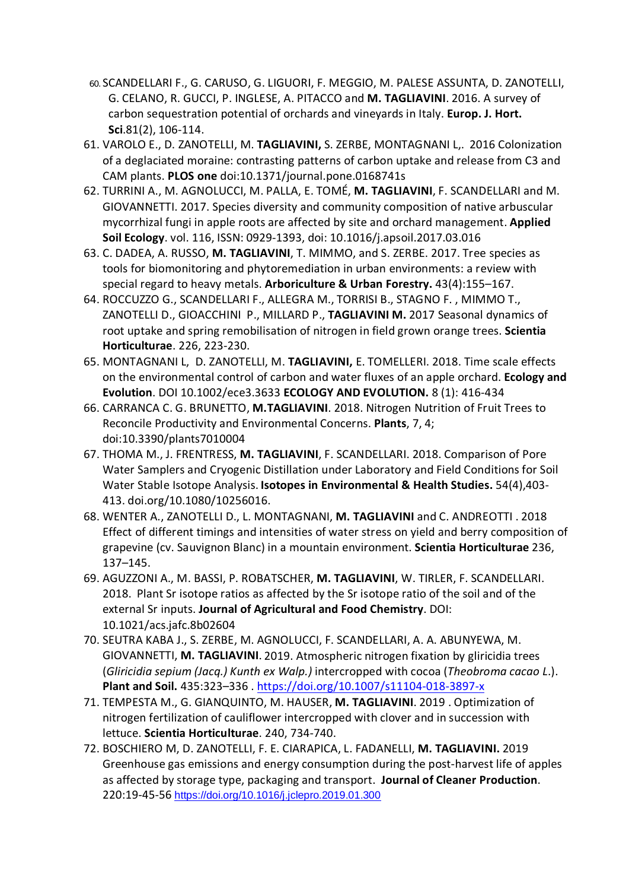- 60. SCANDELLARI F., G. CARUSO, G. LIGUORI, F. MEGGIO, M. PALESE ASSUNTA, D. ZANOTELLI, G. CELANO, R. GUCCI, P. INGLESE, A. PITACCO and **M. TAGLIAVINI**. 2016. A survey of carbon sequestration potential of orchards and vineyards in Italy. **Europ. J. Hort. Sci**.81(2), 106-114.
- 61. VAROLO E., D. ZANOTELLI, M. **TAGLIAVINI,** S. ZERBE, MONTAGNANI L,. 2016 Colonization of a deglaciated moraine: contrasting patterns of carbon uptake and release from C3 and CAM plants. **PLOS one** doi:10.1371/journal.pone.0168741s
- 62. TURRINI A., M. AGNOLUCCI, M. PALLA, E. TOMÉ, **M. TAGLIAVINI**, F. SCANDELLARI and M. GIOVANNETTI. 2017. Species diversity and community composition of native arbuscular mycorrhizal fungi in apple roots are affected by site and orchard management. **Applied Soil Ecology**. vol. 116, ISSN: 0929-1393, doi: 10.1016/j.apsoil.2017.03.016
- 63. C. DADEA, A. RUSSO, **M. TAGLIAVINI**, T. MIMMO, and S. ZERBE. 2017. Tree species as tools for biomonitoring and phytoremediation in urban environments: a review with special regard to heavy metals. **Arboriculture & Urban Forestry.** 43(4):155–167.
- 64. ROCCUZZO G., SCANDELLARI F., ALLEGRA M., TORRISI B., STAGNO F. , MIMMO T., ZANOTELLI D., GIOACCHINI P., MILLARD P., **TAGLIAVINI M.** 2017 Seasonal dynamics of root uptake and spring remobilisation of nitrogen in field grown orange trees. **Scientia Horticulturae**. 226, 223-230.
- 65. MONTAGNANI L, D. ZANOTELLI, M. **TAGLIAVINI,** E. TOMELLERI. 2018. Time scale effects on the environmental control of carbon and water fluxes of an apple orchard. **Ecology and Evolution**. DOI 10.1002/ece3.3633 **ECOLOGY AND EVOLUTION.** 8 (1): 416-434
- 66. CARRANCA C. G. BRUNETTO, **M.TAGLIAVINI**. 2018. Nitrogen Nutrition of Fruit Trees to Reconcile Productivity and Environmental Concerns. **Plants**, 7, 4; doi:10.3390/plants7010004
- 67. THOMA M., J. FRENTRESS, **M. TAGLIAVINI**, F. SCANDELLARI. 2018. Comparison of Pore Water Samplers and Cryogenic Distillation under Laboratory and Field Conditions for Soil Water Stable Isotope Analysis. **Isotopes in Environmental & Health Studies.** 54(4),403- 413. doi.org/10.1080/10256016.
- 68. WENTER A., ZANOTELLI D., L. MONTAGNANI, **M. TAGLIAVINI** and C. ANDREOTTI . 2018 Effect of different timings and intensities of water stress on yield and berry composition of grapevine (cv. Sauvignon Blanc) in a mountain environment. **Scientia Horticulturae** 236, 137–145.
- 69. AGUZZONI A., M. BASSI, P. ROBATSCHER, **M. TAGLIAVINI**, W. TIRLER, F. SCANDELLARI. 2018. Plant Sr isotope ratios as affected by the Sr isotope ratio of the soil and of the external Sr inputs. **Journal of Agricultural and Food Chemistry**. DOI: 10.1021/acs.jafc.8b02604
- 70. SEUTRA KABA J., S. ZERBE, M. AGNOLUCCI, F. SCANDELLARI, A. A. ABUNYEWA, M. GIOVANNETTI, **M. TAGLIAVINI**. 2019. Atmospheric nitrogen fixation by gliricidia trees (*Gliricidia sepium (Jacq.) Kunth ex Walp.)* intercropped with cocoa (*Theobroma cacao L*.). **Plant and Soil.** 435:323–336 .<https://doi.org/10.1007/s11104-018-3897-x>
- 71. TEMPESTA M., G. GIANQUINTO, M. HAUSER, **M. TAGLIAVINI**. 2019 . Optimization of nitrogen fertilization of cauliflower intercropped with clover and in succession with lettuce. **Scientia Horticulturae**. 240, 734-740.
- 72. BOSCHIERO M, D. ZANOTELLI, F. E. CIARAPICA, L. FADANELLI, **M. TAGLIAVINI.** 2019 Greenhouse gas emissions and energy consumption during the post-harvest life of apples as affected by storage type, packaging and transport. **Journal of Cleaner Production**. 220:19-45-56 <https://doi.org/10.1016/j.jclepro.2019.01.300>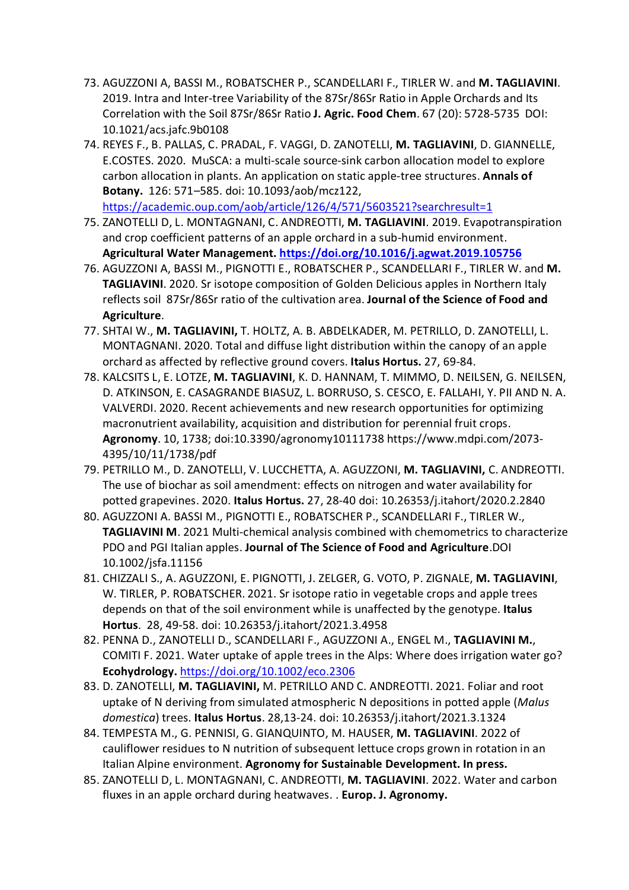- 73. AGUZZONI A, BASSI M., ROBATSCHER P., SCANDELLARI F., TIRLER W. and **M. TAGLIAVINI**. 2019. Intra and Inter-tree Variability of the 87Sr/86Sr Ratio in Apple Orchards and Its Correlation with the Soil 87Sr/86Sr Ratio **J. Agric. Food Chem**. 67 (20): 5728-5735 DOI: 10.1021/acs.jafc.9b0108
- 74. REYES F., B. PALLAS, C. PRADAL, F. VAGGI, D. ZANOTELLI, **M. TAGLIAVINI**, D. GIANNELLE, E.COSTES. 2020. MuSCA: a multi-scale source-sink carbon allocation model to explore carbon allocation in plants. An application on static apple-tree structures. **Annals of Botany.** 126: 571–585. doi: 10.1093/aob/mcz122, <https://academic.oup.com/aob/article/126/4/571/5603521?searchresult=1>
- 75. ZANOTELLI D, L. MONTAGNANI, C. ANDREOTTI, **M. TAGLIAVINI**. 2019. Evapotranspiration and crop coefficient patterns of an apple orchard in a sub-humid environment. **Agricultural Water Management.<https://doi.org/10.1016/j.agwat.2019.105756>**
- 76. AGUZZONI A, BASSI M., PIGNOTTI E., ROBATSCHER P., SCANDELLARI F., TIRLER W. and **M. TAGLIAVINI**. 2020. Sr isotope composition of Golden Delicious apples in Northern Italy reflects soil 87Sr/86Sr ratio of the cultivation area. **Journal of the Science of Food and Agriculture**.
- 77. SHTAI W., **M. TAGLIAVINI,** T. HOLTZ, A. B. ABDELKADER, M. PETRILLO, D. ZANOTELLI, L. MONTAGNANI. 2020. Total and diffuse light distribution within the canopy of an apple orchard as affected by reflective ground covers. **Italus Hortus.** 27, 69-84.
- 78. KALCSITS L, E. LOTZE, **M. TAGLIAVINI**, K. D. HANNAM, T. MIMMO, D. NEILSEN, G. NEILSEN, D. ATKINSON, E. CASAGRANDE BIASUZ, L. BORRUSO, S. CESCO, E. FALLAHI, Y. PII AND N. A. VALVERDI. 2020. Recent achievements and new research opportunities for optimizing macronutrient availability, acquisition and distribution for perennial fruit crops. **Agronomy**. 10, 1738; doi:10.3390/agronomy10111738 [https://www.mdpi.com/2073-](https://www.mdpi.com/2073-4395/10/11/1738/pdf) [4395/10/11/1738/pdf](https://www.mdpi.com/2073-4395/10/11/1738/pdf)
- 79. PETRILLO M., D. ZANOTELLI, V. LUCCHETTA, A. AGUZZONI, **M. TAGLIAVINI,** C. ANDREOTTI. The use of biochar as soil amendment: effects on nitrogen and water availability for potted grapevines. 2020. **Italus Hortus.** 27, 28-40 doi: 10.26353/j.itahort/2020.2.2840
- 80. AGUZZONI A. BASSI M., PIGNOTTI E., ROBATSCHER P., SCANDELLARI F., TIRLER W., **TAGLIAVINI M**. 2021 Multi-chemical analysis combined with chemometrics to characterize PDO and PGI Italian apples. **Journal of The Science of Food and Agriculture**.DOI 10.1002/jsfa.11156
- 81. CHIZZALI S., A. AGUZZONI, E. PIGNOTTI, J. ZELGER, G. VOTO, P. ZIGNALE, **M. TAGLIAVINI**, W. TIRLER, P. ROBATSCHER. 2021. Sr isotope ratio in vegetable crops and apple trees depends on that of the soil environment while is unaffected by the genotype. **Italus Hortus**. 28, 49-58. doi: 10.26353/j.itahort/2021.3.4958
- 82. PENNA D., ZANOTELLI D., SCANDELLARI F., AGUZZONI A., ENGEL M., **TAGLIAVINI M.**, COMITI F. 2021. Water uptake of apple trees in the Alps: Where does irrigation water go? **Ecohydrology.** <https://doi.org/10.1002/eco.2306>
- 83. D. ZANOTELLI, **M. TAGLIAVINI,** M. PETRILLO AND C. ANDREOTTI. 2021. Foliar and root uptake of N deriving from simulated atmospheric N depositions in potted apple (*Malus domestica*) trees. **Italus Hortus**. 28,13-24. doi: 10.26353/j.itahort/2021.3.1324
- 84. TEMPESTA M., G. PENNISI, G. GIANQUINTO, M. HAUSER, **M. TAGLIAVINI**. 2022 of cauliflower residues to N nutrition of subsequent lettuce crops grown in rotation in an Italian Alpine environment. **Agronomy for Sustainable Development. In press.**
- 85. ZANOTELLI D, L. MONTAGNANI, C. ANDREOTTI, **M. TAGLIAVINI**. 2022. Water and carbon fluxes in an apple orchard during heatwaves. . **Europ. J. Agronomy.**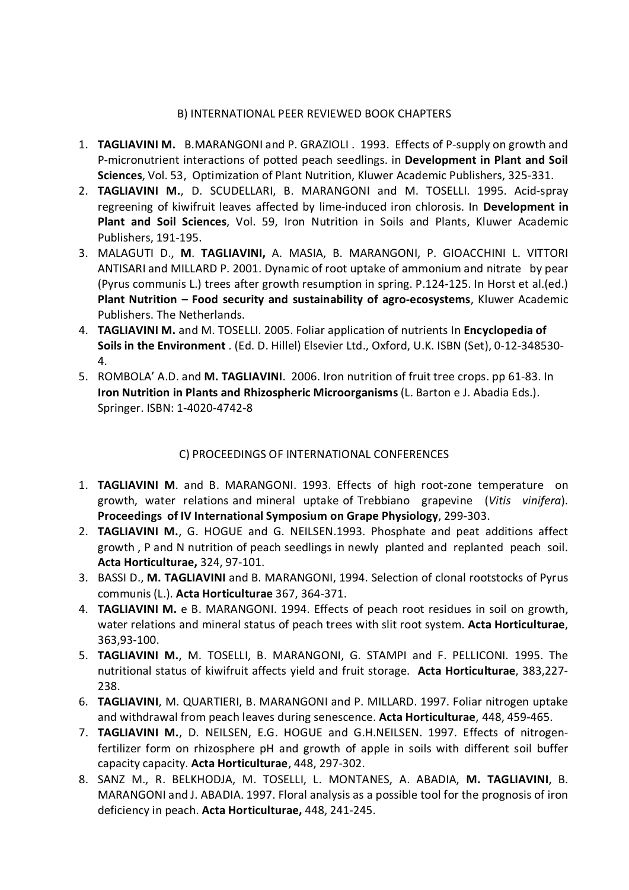#### B) INTERNATIONAL PEER REVIEWED BOOK CHAPTERS

- 1. **TAGLIAVINI M.** B.MARANGONI and P. GRAZIOLI . 1993. Effects of P-supply on growth and P-micronutrient interactions of potted peach seedlings. in **Development in Plant and Soil Sciences**, Vol. 53, Optimization of Plant Nutrition, Kluwer Academic Publishers, 325-331.
- 2. **TAGLIAVINI M.**, D. SCUDELLARI, B. MARANGONI and M. TOSELLI. 1995. Acid-spray regreening of kiwifruit leaves affected by lime-induced iron chlorosis. In **Development in Plant and Soil Sciences**, Vol. 59, Iron Nutrition in Soils and Plants, Kluwer Academic Publishers, 191-195.
- 3. MALAGUTI D., **M**. **TAGLIAVINI,** A. MASIA, B. MARANGONI, P. GIOACCHINI L. VITTORI ANTISARI and MILLARD P. 2001. Dynamic of root uptake of ammonium and nitrate by pear (Pyrus communis L.) trees after growth resumption in spring. P.124-125. In Horst et al.(ed.) **Plant Nutrition – Food security and sustainability of agro-ecosystems**, Kluwer Academic Publishers. The Netherlands.
- 4. **TAGLIAVINI M.** and M. TOSELLI. 2005. Foliar application of nutrients In **Encyclopedia of Soils in the Environment** . (Ed. D. Hillel) Elsevier Ltd., Oxford, U.K. ISBN (Set), 0-12-348530- 4.
- 5. ROMBOLA' A.D. and **M. TAGLIAVINI**. 2006. Iron nutrition of fruit tree crops. pp 61-83. In **Iron Nutrition in Plants and Rhizospheric Microorganisms** (L. Barton e J. Abadia Eds.). Springer. ISBN: 1-4020-4742-8

## C) PROCEEDINGS OF INTERNATIONAL CONFERENCES

- 1. **TAGLIAVINI M**. and B. MARANGONI. 1993. Effects of high root-zone temperature on growth, water relations and mineral uptake of Trebbiano grapevine (*Vitis vinifera*). **Proceedings of IV International Symposium on Grape Physiology**, 299-303.
- 2. **TAGLIAVINI M.**, G. HOGUE and G. NEILSEN.1993. Phosphate and peat additions affect growth , P and N nutrition of peach seedlings in newly planted and replanted peach soil. **Acta Horticulturae,** 324, 97-101.
- 3. BASSI D., **M. TAGLIAVINI** and B. MARANGONI, 1994. Selection of clonal rootstocks of Pyrus communis (L.). **Acta Horticulturae** 367, 364-371.
- 4. **TAGLIAVINI M.** e B. MARANGONI. 1994. Effects of peach root residues in soil on growth, water relations and mineral status of peach trees with slit root system. **Acta Horticulturae**, 363,93-100.
- 5. **TAGLIAVINI M.**, M. TOSELLI, B. MARANGONI, G. STAMPI and F. PELLICONI. 1995. The nutritional status of kiwifruit affects yield and fruit storage. **Acta Horticulturae**, 383,227- 238.
- 6. **TAGLIAVINI**, M. QUARTIERI, B. MARANGONI and P. MILLARD. 1997. Foliar nitrogen uptake and withdrawal from peach leaves during senescence. **Acta Horticulturae**, 448, 459-465.
- 7. **TAGLIAVINI M.**, D. NEILSEN, E.G. HOGUE and G.H.NEILSEN. 1997. Effects of nitrogenfertilizer form on rhizosphere pH and growth of apple in soils with different soil buffer capacity capacity. **Acta Horticulturae**, 448, 297-302.
- 8. SANZ M., R. BELKHODJA, M. TOSELLI, L. MONTANES, A. ABADIA, **M. TAGLIAVINI**, B. MARANGONI and J. ABADIA. 1997. Floral analysis as a possible tool for the prognosis of iron deficiency in peach. **Acta Horticulturae,** 448, 241-245.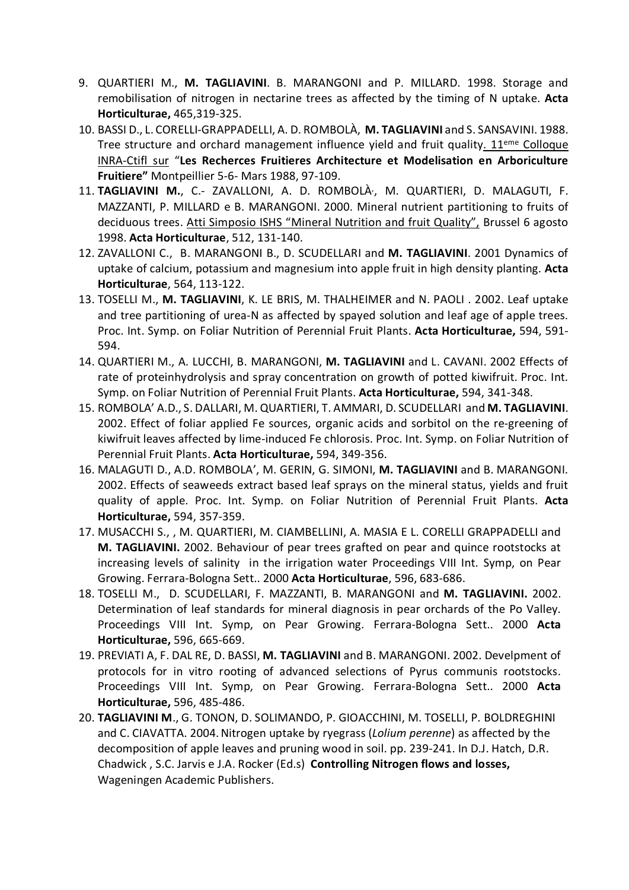- 9. QUARTIERI M., **M. TAGLIAVINI**. B. MARANGONI and P. MILLARD. 1998. Storage and remobilisation of nitrogen in nectarine trees as affected by the timing of N uptake. **Acta Horticulturae,** 465,319-325.
- 10. BASSI D., L. CORELLI-GRAPPADELLI, A. D. ROMBOLÀ, **M. TAGLIAVINI** and S. SANSAVINI. 1988. Tree structure and orchard management influence yield and fruit quality.  $11<sup>eme</sup>$  Colloque INRA-Ctifl sur "**Les Recherces Fruitieres Architecture et Modelisation en Arboriculture Fruitiere"** Montpeillier 5-6- Mars 1988, 97-109.
- 11. **TAGLIAVINI M.**, C.- ZAVALLONI, A. D. ROMBOLÀ, , M. QUARTIERI, D. MALAGUTI, F. MAZZANTI, P. MILLARD e B. MARANGONI. 2000. Mineral nutrient partitioning to fruits of deciduous trees. Atti Simposio ISHS "Mineral Nutrition and fruit Quality", Brussel 6 agosto 1998. **Acta Horticulturae**, 512, 131-140.
- 12. ZAVALLONI C., B. MARANGONI B., D. SCUDELLARI and **M. TAGLIAVINI**. 2001 Dynamics of uptake of calcium, potassium and magnesium into apple fruit in high density planting. **Acta Horticulturae**, 564, 113-122.
- 13. TOSELLI M., **M. TAGLIAVINI**, K. LE BRIS, M. THALHEIMER and N. PAOLI . 2002. Leaf uptake and tree partitioning of urea-N as affected by spayed solution and leaf age of apple trees. Proc. Int. Symp. on Foliar Nutrition of Perennial Fruit Plants. **Acta Horticulturae,** 594, 591- 594.
- 14. QUARTIERI M., A. LUCCHI, B. MARANGONI, **M. TAGLIAVINI** and L. CAVANI. 2002 Effects of rate of proteinhydrolysis and spray concentration on growth of potted kiwifruit. Proc. Int. Symp. on Foliar Nutrition of Perennial Fruit Plants. **Acta Horticulturae,** 594, 341-348.
- 15. ROMBOLA' A.D., S. DALLARI, M. QUARTIERI, T. AMMARI, D. SCUDELLARI and **M. TAGLIAVINI**. 2002. Effect of foliar applied Fe sources, organic acids and sorbitol on the re-greening of kiwifruit leaves affected by lime-induced Fe chlorosis. Proc. Int. Symp. on Foliar Nutrition of Perennial Fruit Plants. **Acta Horticulturae,** 594, 349-356.
- 16. MALAGUTI D., A.D. ROMBOLA', M. GERIN, G. SIMONI, **M. TAGLIAVINI** and B. MARANGONI. 2002. Effects of seaweeds extract based leaf sprays on the mineral status, yields and fruit quality of apple. Proc. Int. Symp. on Foliar Nutrition of Perennial Fruit Plants. **Acta Horticulturae,** 594, 357-359.
- 17. MUSACCHI S., , M. QUARTIERI, M. CIAMBELLINI, A. MASIA E L. CORELLI GRAPPADELLI and **M. TAGLIAVINI.** 2002. Behaviour of pear trees grafted on pear and quince rootstocks at increasing levels of salinity in the irrigation water Proceedings VIII Int. Symp, on Pear Growing. Ferrara-Bologna Sett.. 2000 **Acta Horticulturae**, 596, 683-686.
- 18. TOSELLI M., D. SCUDELLARI, F. MAZZANTI, B. MARANGONI and **M. TAGLIAVINI.** 2002. Determination of leaf standards for mineral diagnosis in pear orchards of the Po Valley. Proceedings VIII Int. Symp, on Pear Growing. Ferrara-Bologna Sett.. 2000 **Acta Horticulturae,** 596, 665-669.
- 19. PREVIATI A, F. DAL RE, D. BASSI, **M. TAGLIAVINI** and B. MARANGONI. 2002. Develpment of protocols for in vitro rooting of advanced selections of Pyrus communis rootstocks. Proceedings VIII Int. Symp, on Pear Growing. Ferrara-Bologna Sett.. 2000 **Acta Horticulturae,** 596, 485-486.
- 20. **TAGLIAVINI M**., G. TONON, D. SOLIMANDO, P. GIOACCHINI, M. TOSELLI, P. BOLDREGHINI and C. CIAVATTA. 2004.Nitrogen uptake by ryegrass (*Lolium perenne*) as affected by the decomposition of apple leaves and pruning wood in soil. pp. 239-241. In D.J. Hatch, D.R. Chadwick , S.C. Jarvis e J.A. Rocker (Ed.s) **Controlling Nitrogen flows and losses,** Wageningen Academic Publishers.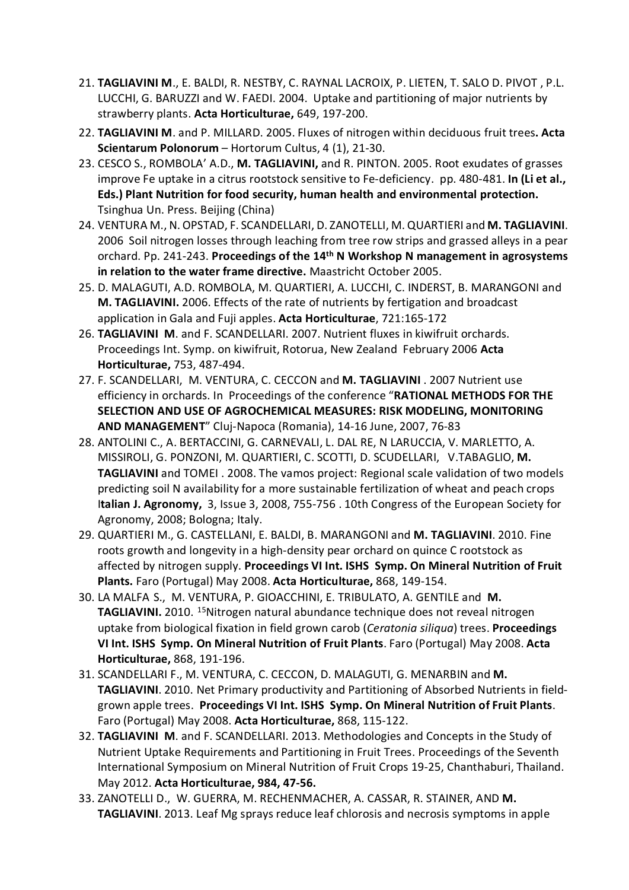- 21. **TAGLIAVINI M**., E. BALDI, R. NESTBY, C. RAYNAL LACROIX, P. LIETEN, T. SALO D. PIVOT , P.L. LUCCHI, G. BARUZZI and W. FAEDI. 2004. Uptake and partitioning of major nutrients by strawberry plants. **Acta Horticulturae,** 649, 197-200.
- 22. **TAGLIAVINI M**. and P. MILLARD. 2005. Fluxes of nitrogen within deciduous fruit trees**. Acta Scientarum Polonorum** – Hortorum Cultus, 4 (1), 21-30.
- 23. CESCO S., ROMBOLA' A.D., **M. TAGLIAVINI,** and R. PINTON. 2005. Root exudates of grasses improve Fe uptake in a citrus rootstock sensitive to Fe-deficiency. pp. 480-481. **In (Li et al., Eds.) Plant Nutrition for food security, human health and environmental protection.** Tsinghua Un. Press. Beijing (China)
- 24. VENTURA M., N. OPSTAD, F. SCANDELLARI, D. ZANOTELLI, M. QUARTIERI and **M. TAGLIAVINI**. 2006 Soil nitrogen losses through leaching from tree row strips and grassed alleys in a pear orchard. Pp. 241-243. **Proceedings of the 14th N Workshop N management in agrosystems in relation to the water frame directive.** Maastricht October 2005.
- 25. D. MALAGUTI, A.D. ROMBOLA, M. QUARTIERI, A. LUCCHI, C. INDERST, B. MARANGONI and **M. TAGLIAVINI.** 2006. Effects of the rate of nutrients by fertigation and broadcast application in Gala and Fuji apples. **Acta Horticulturae**, 721:165-172
- 26. **TAGLIAVINI M**. and F. SCANDELLARI. 2007. Nutrient fluxes in kiwifruit orchards. Proceedings Int. Symp. on kiwifruit, Rotorua, New Zealand February 2006 **Acta Horticulturae,** 753, 487-494.
- 27. F. SCANDELLARI, M. VENTURA, C. CECCON and **M. TAGLIAVINI** . 2007 Nutrient use efficiency in orchards. In Proceedings of the conference "**RATIONAL METHODS FOR THE SELECTION AND USE OF AGROCHEMICAL MEASURES: RISK MODELING, MONITORING AND MANAGEMENT**" Cluj-Napoca (Romania), 14-16 June, 2007, 76-83
- 28. ANTOLINI C., A. BERTACCINI, G. CARNEVALI, L. DAL RE, N LARUCCIA, V. MARLETTO, A. MISSIROLI, G. PONZONI, M. QUARTIERI, C. SCOTTI, D. SCUDELLARI, V.TABAGLIO, **M. TAGLIAVINI** and TOMEI . 2008. The vamos project: Regional scale validation of two models predicting soil N availability for a more sustainable fertilization of wheat and peach crops I**talian J. Agronomy,** 3, Issue 3, 2008, 755-756 . 10th Congress of the European Society for Agronomy, 2008; Bologna; Italy.
- 29. QUARTIERI M., G. CASTELLANI, E. BALDI, B. MARANGONI and **M. TAGLIAVINI**. 2010. Fine roots growth and longevity in a high-density pear orchard on quince C rootstock as affected by nitrogen supply. **Proceedings VI Int. ISHS Symp. On Mineral Nutrition of Fruit Plants.** Faro (Portugal) May 2008. **Acta Horticulturae,** 868, 149-154.
- 30. LA MALFA S., M. VENTURA, P. GIOACCHINI, E. TRIBULATO, A. GENTILE and **M. TAGLIAVINI.** 2010. 15Nitrogen natural abundance technique does not reveal nitrogen uptake from biological fixation in field grown carob (*Ceratonia siliqua*) trees. **Proceedings VI Int. ISHS Symp. On Mineral Nutrition of Fruit Plants**. Faro (Portugal) May 2008. **Acta Horticulturae,** 868, 191-196.
- 31. SCANDELLARI F., M. VENTURA, C. CECCON, D. MALAGUTI, G. MENARBIN and **M. TAGLIAVINI**. 2010. Net Primary productivity and Partitioning of Absorbed Nutrients in fieldgrown apple trees. **Proceedings VI Int. ISHS Symp. On Mineral Nutrition of Fruit Plants**. Faro (Portugal) May 2008. **Acta Horticulturae,** 868, 115-122.
- 32. **TAGLIAVINI M**. and F. SCANDELLARI. 2013. Methodologies and Concepts in the Study of Nutrient Uptake Requirements and Partitioning in Fruit Trees. Proceedings of the Seventh International Symposium on Mineral Nutrition of Fruit Crops 19-25, Chanthaburi, Thailand. May 2012. **Acta Horticulturae, 984, 47-56.**
- 33. ZANOTELLI D., W. GUERRA, M. RECHENMACHER, A. CASSAR, R. STAINER, AND **M. TAGLIAVINI**. 2013. Leaf Mg sprays reduce leaf chlorosis and necrosis symptoms in apple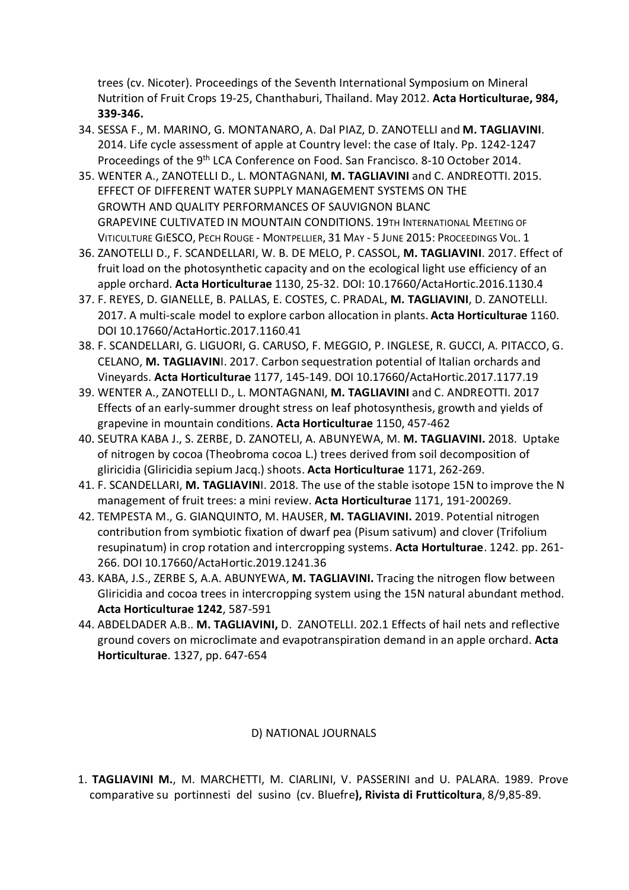trees (cv. Nicoter). Proceedings of the Seventh International Symposium on Mineral Nutrition of Fruit Crops 19-25, Chanthaburi, Thailand. May 2012. **Acta Horticulturae, 984, 339-346.**

- 34. SESSA F., M. MARINO, G. MONTANARO, A. Dal PIAZ, D. ZANOTELLI and **M. TAGLIAVINI**. 2014. Life cycle assessment of apple at Country level: the case of Italy. Pp. 1242-1247 Proceedings of the 9th LCA Conference on Food. San Francisco. 8-10 October 2014.
- 35. WENTER A., ZANOTELLI D., L. MONTAGNANI, **M. TAGLIAVINI** and C. ANDREOTTI. 2015. EFFECT OF DIFFERENT WATER SUPPLY MANAGEMENT SYSTEMS ON THE GROWTH AND QUALITY PERFORMANCES OF SAUVIGNON BLANC GRAPEVINE CULTIVATED IN MOUNTAIN CONDITIONS. 19TH INTERNATIONAL MEETING OF VITICULTURE GIESCO, PECH ROUGE - MONTPELLIER, 31 MAY - 5 JUNE 2015: PROCEEDINGS VOL. 1
- 36. ZANOTELLI D., F. SCANDELLARI, W. B. DE MELO, P. CASSOL, **M. TAGLIAVINI**. 2017. Effect of fruit load on the photosynthetic capacity and on the ecological light use efficiency of an apple orchard. **Acta Horticulturae** 1130, 25-32. DOI: 10.17660/ActaHortic.2016.1130.4
- 37. F. REYES, D. GIANELLE, B. PALLAS, E. COSTES, C. PRADAL, **M. TAGLIAVINI**, D. ZANOTELLI. 2017. A multi-scale model to explore carbon allocation in plants. **Acta Horticulturae** 1160. DOI 10.17660/ActaHortic.2017.1160.41
- 38. F. SCANDELLARI, G. LIGUORI, G. CARUSO, F. MEGGIO, P. INGLESE, R. GUCCI, A. PITACCO, G. CELANO, **M. TAGLIAVIN**I. 2017. Carbon sequestration potential of Italian orchards and Vineyards. **Acta Horticulturae** 1177, 145-149. DOI 10.17660/ActaHortic.2017.1177.19
- 39. WENTER A., ZANOTELLI D., L. MONTAGNANI, **M. TAGLIAVINI** and C. ANDREOTTI. 2017 Effects of an early-summer drought stress on leaf photosynthesis, growth and yields of grapevine in mountain conditions. **Acta Horticulturae** 1150, 457-462
- 40. SEUTRA KABA J., S. ZERBE, D. ZANOTELI, A. ABUNYEWA, M. **M. TAGLIAVINI.** 2018. Uptake of nitrogen by cocoa (Theobroma cocoa L.) trees derived from soil decomposition of gliricidia (Gliricidia sepium Jacq.) shoots. **Acta Horticulturae** 1171, 262-269.
- 41. F. SCANDELLARI, **M. TAGLIAVIN**I. 2018. The use of the stable isotope 15N to improve the N management of fruit trees: a mini review. **Acta Horticulturae** 1171, 191-200269.
- 42. TEMPESTA M., G. GIANQUINTO, M. HAUSER, **M. TAGLIAVINI.** 2019. Potential nitrogen contribution from symbiotic fixation of dwarf pea (Pisum sativum) and clover (Trifolium resupinatum) in crop rotation and intercropping systems. **Acta Hortulturae**. 1242. pp. 261- 266. DOI 10.17660/ActaHortic.2019.1241.36
- 43. KABA, J.S., ZERBE S, A.A. ABUNYEWA, **M. TAGLIAVINI.** Tracing the nitrogen flow between Gliricidia and cocoa trees in intercropping system using the 15N natural abundant method. **Acta Horticulturae 1242**, 587-591
- 44. ABDELDADER A.B.. **M. TAGLIAVINI,** D. ZANOTELLI. 202.1 Effects of hail nets and reflective ground covers on microclimate and evapotranspiration demand in an apple orchard. **Acta Horticulturae**. 1327, pp. 647-654

## D) NATIONAL JOURNALS

1. **TAGLIAVINI M.**, M. MARCHETTI, M. CIARLINI, V. PASSERINI and U. PALARA. 1989. Prove comparative su portinnesti del susino (cv. Bluefre**), Rivista di Frutticoltura**, 8/9,85-89.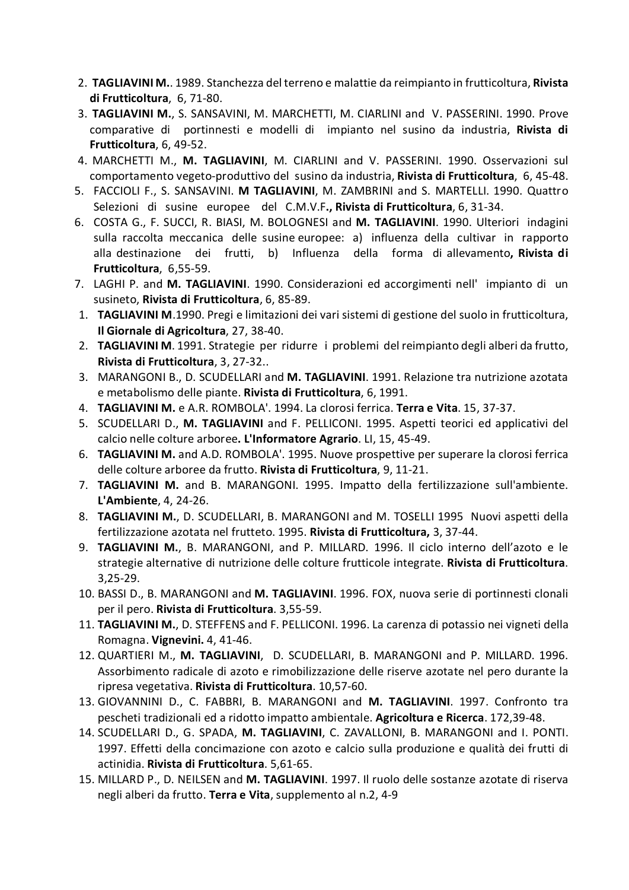- 2. **TAGLIAVINI M.**. 1989. Stanchezza del terreno e malattie da reimpianto in frutticoltura, **Rivista di Frutticoltura**, 6, 71-80.
- 3. **TAGLIAVINI M.**, S. SANSAVINI, M. MARCHETTI, M. CIARLINI and V. PASSERINI. 1990. Prove comparative di portinnesti e modelli di impianto nel susino da industria, **Rivista di Frutticoltura**, 6, 49-52.
- 4. MARCHETTI M., **M. TAGLIAVINI**, M. CIARLINI and V. PASSERINI. 1990. Osservazioni sul comportamento vegeto-produttivo del susino da industria, **Rivista di Frutticoltura**, 6, 45-48.
- 5. FACCIOLI F., S. SANSAVINI. **M TAGLIAVINI**, M. ZAMBRINI and S. MARTELLI. 1990. Quattro Selezioni di susine europee del C.M.V.F**., Rivista di Frutticoltura**, 6, 31-34.
- 6. COSTA G., F. SUCCI, R. BIASI, M. BOLOGNESI and **M. TAGLIAVINI**. 1990. Ulteriori indagini sulla raccolta meccanica delle susine europee: a) influenza della cultivar in rapporto alla destinazione dei frutti, b) Influenza della forma di allevamento**, Rivista di Frutticoltura**, 6,55-59.
- 7. LAGHI P. and **M. TAGLIAVINI**. 1990. Considerazioni ed accorgimenti nell' impianto di un susineto, **Rivista di Frutticoltura**, 6, 85-89.
- 1. **TAGLIAVINI M**.1990. Pregi e limitazioni dei vari sistemi di gestione del suolo in frutticoltura, **Il Giornale di Agricoltura**, 27, 38-40.
- 2. **TAGLIAVINI M**. 1991. Strategie per ridurre i problemi del reimpianto degli alberi da frutto, **Rivista di Frutticoltura**, 3, 27-32..
- 3. MARANGONI B., D. SCUDELLARI and **M. TAGLIAVINI**. 1991. Relazione tra nutrizione azotata e metabolismo delle piante. **Rivista di Frutticoltura**, 6, 1991.
- 4. **TAGLIAVINI M.** e A.R. ROMBOLA'. 1994. La clorosi ferrica. **Terra e Vita**. 15, 37-37.
- 5. SCUDELLARI D., **M. TAGLIAVINI** and F. PELLICONI. 1995. Aspetti teorici ed applicativi del calcio nelle colture arboree**. L'Informatore Agrario**. LI, 15, 45-49.
- 6. **TAGLIAVINI M.** and A.D. ROMBOLA'. 1995. Nuove prospettive per superare la clorosi ferrica delle colture arboree da frutto. **Rivista di Frutticoltura**, 9, 11-21.
- 7. **TAGLIAVINI M.** and B. MARANGONI. 1995. Impatto della fertilizzazione sull'ambiente. **L'Ambiente**, 4, 24-26.
- 8. **TAGLIAVINI M.**, D. SCUDELLARI, B. MARANGONI and M. TOSELLI 1995 Nuovi aspetti della fertilizzazione azotata nel frutteto. 1995. **Rivista di Frutticoltura,** 3, 37-44.
- 9. **TAGLIAVINI M.**, B. MARANGONI, and P. MILLARD. 1996. Il ciclo interno dell'azoto e le strategie alternative di nutrizione delle colture frutticole integrate. **Rivista di Frutticoltura**. 3,25-29.
- 10. BASSI D., B. MARANGONI and **M. TAGLIAVINI**. 1996. FOX, nuova serie di portinnesti clonali per il pero. **Rivista di Frutticoltura**. 3,55-59.
- 11. **TAGLIAVINI M.**, D. STEFFENS and F. PELLICONI. 1996. La carenza di potassio nei vigneti della Romagna. **Vignevini.** 4, 41-46.
- 12. QUARTIERI M., **M. TAGLIAVINI**, D. SCUDELLARI, B. MARANGONI and P. MILLARD. 1996. Assorbimento radicale di azoto e rimobilizzazione delle riserve azotate nel pero durante la ripresa vegetativa. **Rivista di Frutticoltura**. 10,57-60.
- 13. GIOVANNINI D., C. FABBRI, B. MARANGONI and **M. TAGLIAVINI**. 1997. Confronto tra pescheti tradizionali ed a ridotto impatto ambientale. **Agricoltura e Ricerca**. 172,39-48.
- 14. SCUDELLARI D., G. SPADA, **M. TAGLIAVINI**, C. ZAVALLONI, B. MARANGONI and I. PONTI. 1997. Effetti della concimazione con azoto e calcio sulla produzione e qualità dei frutti di actinidia. **Rivista di Frutticoltura**. 5,61-65.
- 15. MILLARD P., D. NEILSEN and **M. TAGLIAVINI**. 1997. Il ruolo delle sostanze azotate di riserva negli alberi da frutto. **Terra e Vita**, supplemento al n.2, 4-9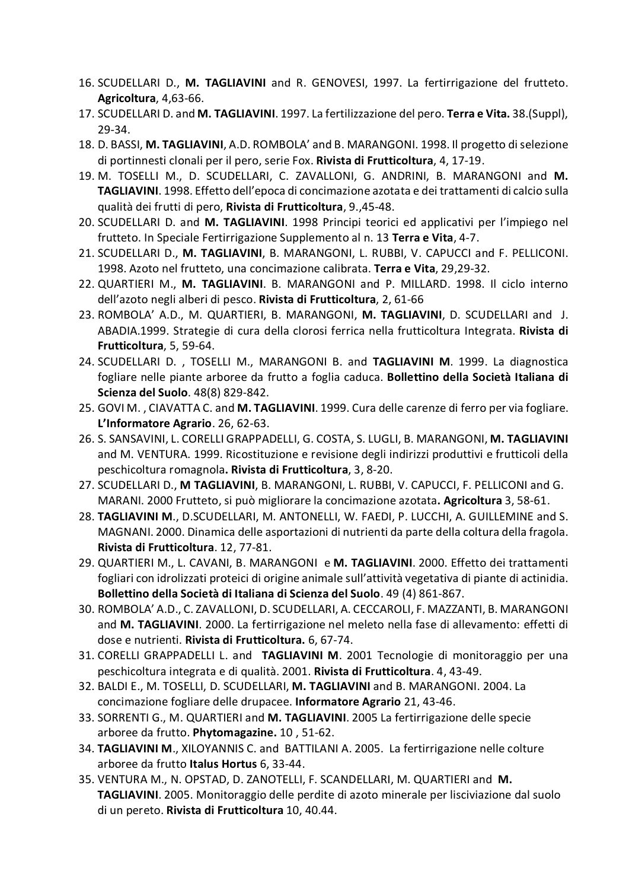- 16. SCUDELLARI D., **M. TAGLIAVINI** and R. GENOVESI, 1997. La fertirrigazione del frutteto. **Agricoltura**, 4,63-66.
- 17. SCUDELLARI D. and **M. TAGLIAVINI**. 1997. La fertilizzazione del pero. **Terra e Vita.** 38.(Suppl), 29-34.
- 18. D. BASSI, **M. TAGLIAVINI**, A.D. ROMBOLA' and B. MARANGONI. 1998. Il progetto di selezione di portinnesti clonali per il pero, serie Fox. **Rivista di Frutticoltura**, 4, 17-19.
- 19. M. TOSELLI M., D. SCUDELLARI, C. ZAVALLONI, G. ANDRINI, B. MARANGONI and **M. TAGLIAVINI**. 1998. Effetto dell'epoca di concimazione azotata e dei trattamenti di calcio sulla qualità dei frutti di pero, **Rivista di Frutticoltura**, 9.,45-48.
- 20. SCUDELLARI D. and **M. TAGLIAVINI**. 1998 Principi teorici ed applicativi per l'impiego nel frutteto. In Speciale Fertirrigazione Supplemento al n. 13 **Terra e Vita**, 4-7.
- 21. SCUDELLARI D., **M. TAGLIAVINI**, B. MARANGONI, L. RUBBI, V. CAPUCCI and F. PELLICONI. 1998. Azoto nel frutteto, una concimazione calibrata. **Terra e Vita**, 29,29-32.
- 22. QUARTIERI M., **M. TAGLIAVINI**. B. MARANGONI and P. MILLARD. 1998. Il ciclo interno dell'azoto negli alberi di pesco. **Rivista di Frutticoltura**, 2, 61-66
- 23. ROMBOLA' A.D., M. QUARTIERI, B. MARANGONI, **M. TAGLIAVINI**, D. SCUDELLARI and J. ABADIA.1999. Strategie di cura della clorosi ferrica nella frutticoltura Integrata. **Rivista di Frutticoltura**, 5, 59-64.
- 24. SCUDELLARI D. , TOSELLI M., MARANGONI B. and **TAGLIAVINI M**. 1999. La diagnostica fogliare nelle piante arboree da frutto a foglia caduca. **Bollettino della Società Italiana di Scienza del Suolo**. 48(8) 829-842.
- 25. GOVI M. , CIAVATTA C. and **M. TAGLIAVINI**. 1999. Cura delle carenze di ferro per via fogliare. **L'Informatore Agrario**. 26, 62-63.
- 26. S. SANSAVINI, L. CORELLI GRAPPADELLI, G. COSTA, S. LUGLI, B. MARANGONI, **M. TAGLIAVINI** and M. VENTURA. 1999. Ricostituzione e revisione degli indirizzi produttivi e frutticoli della peschicoltura romagnola**. Rivista di Frutticoltura**, 3, 8-20.
- 27. SCUDELLARI D., **M TAGLIAVINI**, B. MARANGONI, L. RUBBI, V. CAPUCCI, F. PELLICONI and G. MARANI. 2000 Frutteto, si può migliorare la concimazione azotata**. Agricoltura** 3, 58-61.
- 28. **TAGLIAVINI M**., D.SCUDELLARI, M. ANTONELLI, W. FAEDI, P. LUCCHI, A. GUILLEMINE and S. MAGNANI. 2000. Dinamica delle asportazioni di nutrienti da parte della coltura della fragola. **Rivista di Frutticoltura**. 12, 77-81.
- 29. QUARTIERI M., L. CAVANI, B. MARANGONI e **M. TAGLIAVINI**. 2000. Effetto dei trattamenti fogliari con idrolizzati proteici di origine animale sull'attività vegetativa di piante di actinidia. **Bollettino della Società di Italiana di Scienza del Suolo**. 49 (4) 861-867.
- 30. ROMBOLA' A.D., C. ZAVALLONI, D. SCUDELLARI, A. CECCAROLI, F. MAZZANTI, B. MARANGONI and **M. TAGLIAVINI**. 2000. La fertirrigazione nel meleto nella fase di allevamento: effetti di dose e nutrienti. **Rivista di Frutticoltura.** 6, 67-74.
- 31. CORELLI GRAPPADELLI L. and **TAGLIAVINI M**. 2001 Tecnologie di monitoraggio per una peschicoltura integrata e di qualità. 2001. **Rivista di Frutticoltura**. 4, 43-49.
- 32. BALDI E., M. TOSELLI, D. SCUDELLARI, **M. TAGLIAVINI** and B. MARANGONI. 2004. La concimazione fogliare delle drupacee. **Informatore Agrario** 21, 43-46.
- 33. SORRENTI G., M. QUARTIERI and **M. TAGLIAVINI**. 2005 La fertirrigazione delle specie arboree da frutto. **Phytomagazine.** 10 , 51-62.
- 34. **TAGLIAVINI M**., XILOYANNIS C. and BATTILANI A. 2005. La fertirrigazione nelle colture arboree da frutto **Italus Hortus** 6, 33-44.
- 35. VENTURA M., N. OPSTAD, D. ZANOTELLI, F. SCANDELLARI, M. QUARTIERI and **M. TAGLIAVINI**. 2005. Monitoraggio delle perdite di azoto minerale per lisciviazione dal suolo di un pereto. **Rivista di Frutticoltura** 10, 40.44.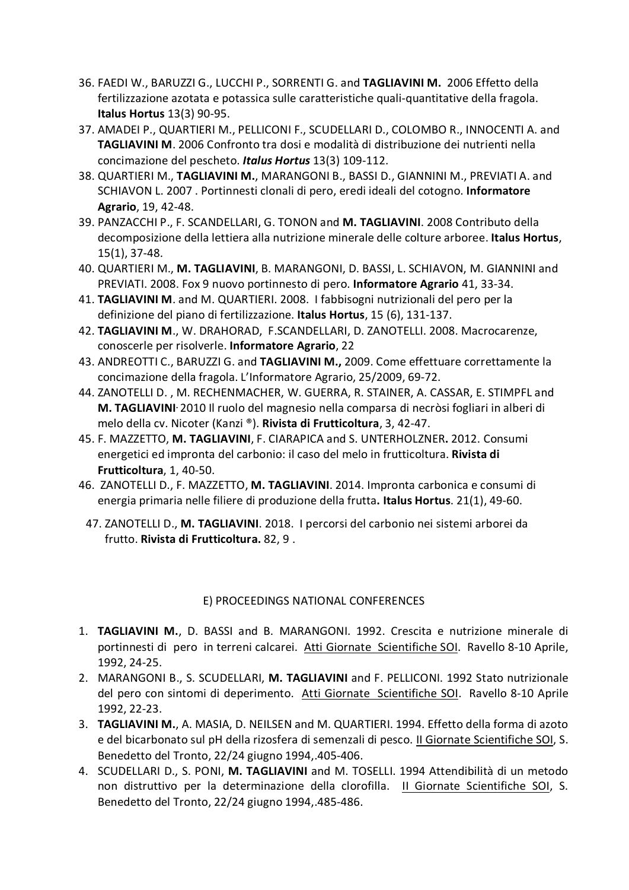- 36. FAEDI W., BARUZZI G., LUCCHI P., SORRENTI G. and **TAGLIAVINI M.** 2006 Effetto della fertilizzazione azotata e potassica sulle caratteristiche quali-quantitative della fragola. **Italus Hortus** 13(3) 90-95.
- 37. AMADEI P., QUARTIERI M., PELLICONI F., SCUDELLARI D., COLOMBO R., INNOCENTI A. and **TAGLIAVINI M**. 2006 Confronto tra dosi e modalità di distribuzione dei nutrienti nella concimazione del pescheto. *Italus Hortus* 13(3) 109-112.
- 38. QUARTIERI M., **TAGLIAVINI M.**, MARANGONI B., BASSI D., GIANNINI M., PREVIATI A. and SCHIAVON L. 2007 . Portinnesti clonali di pero, eredi ideali del cotogno. **Informatore Agrario**, 19, 42-48.
- 39. PANZACCHI P., F. SCANDELLARI, G. TONON and **M. TAGLIAVINI**. 2008 Contributo della decomposizione della lettiera alla nutrizione minerale delle colture arboree. **Italus Hortus**, 15(1), 37-48.
- 40. QUARTIERI M., **M. TAGLIAVINI**, B. MARANGONI, D. BASSI, L. SCHIAVON, M. GIANNINI and PREVIATI. 2008. Fox 9 nuovo portinnesto di pero. **Informatore Agrario** 41, 33-34.
- 41. **TAGLIAVINI M**. and M. QUARTIERI. 2008. I fabbisogni nutrizionali del pero per la definizione del piano di fertilizzazione. **Italus Hortus**, 15 (6), 131-137.
- 42. **TAGLIAVINI M**., W. DRAHORAD, F.SCANDELLARI, D. ZANOTELLI. 2008. Macrocarenze, conoscerle per risolverle. **Informatore Agrario**, 22
- 43. ANDREOTTI C., BARUZZI G. and **TAGLIAVINI M.,** 2009. Come effettuare correttamente la concimazione della fragola. L'Informatore Agrario, 25/2009, 69-72.
- 44. ZANOTELLI D. , M. RECHENMACHER, W. GUERRA, R. STAINER, A. CASSAR, E. STIMPFL and **M. TAGLIAVINI.** 2010 Il ruolo del magnesio nella comparsa di necròsi fogliari in alberi di melo della cv. Nicoter (Kanzi ®). **Rivista di Frutticoltura**, 3, 42-47.
- 45. F. MAZZETTO, **M. TAGLIAVINI**, F. CIARAPICA and S. UNTERHOLZNER**.** 2012. Consumi energetici ed impronta del carbonio: il caso del melo in frutticoltura. **Rivista di Frutticoltura**, 1, 40-50.
- 46. ZANOTELLI D., F. MAZZETTO, **M. TAGLIAVINI**. 2014. Impronta carbonica e consumi di energia primaria nelle filiere di produzione della frutta**. Italus Hortus**. 21(1), 49-60.
	- 47. ZANOTELLI D., **M. TAGLIAVINI**. 2018. I percorsi del carbonio nei sistemi arborei da frutto. **Rivista di Frutticoltura.** 82, 9 .

## E) PROCEEDINGS NATIONAL CONFERENCES

- 1. **TAGLIAVINI M.**, D. BASSI and B. MARANGONI. 1992. Crescita e nutrizione minerale di portinnesti di pero in terreni calcarei. Atti Giornate Scientifiche SOI. Ravello 8-10 Aprile, 1992, 24-25.
- 2. MARANGONI B., S. SCUDELLARI, **M. TAGLIAVINI** and F. PELLICONI. 1992 Stato nutrizionale del pero con sintomi di deperimento. Atti Giornate Scientifiche SOI. Ravello 8-10 Aprile 1992, 22-23.
- 3. **TAGLIAVINI M.**, A. MASIA, D. NEILSEN and M. QUARTIERI. 1994. Effetto della forma di azoto e del bicarbonato sul pH della rizosfera di semenzali di pesco. Il Giornate Scientifiche SOI, S. Benedetto del Tronto, 22/24 giugno 1994,.405-406.
- 4. SCUDELLARI D., S. PONI, **M. TAGLIAVINI** and M. TOSELLI. 1994 Attendibilità di un metodo non distruttivo per la determinazione della clorofilla. II Giornate Scientifiche SOI, S. Benedetto del Tronto, 22/24 giugno 1994,.485-486.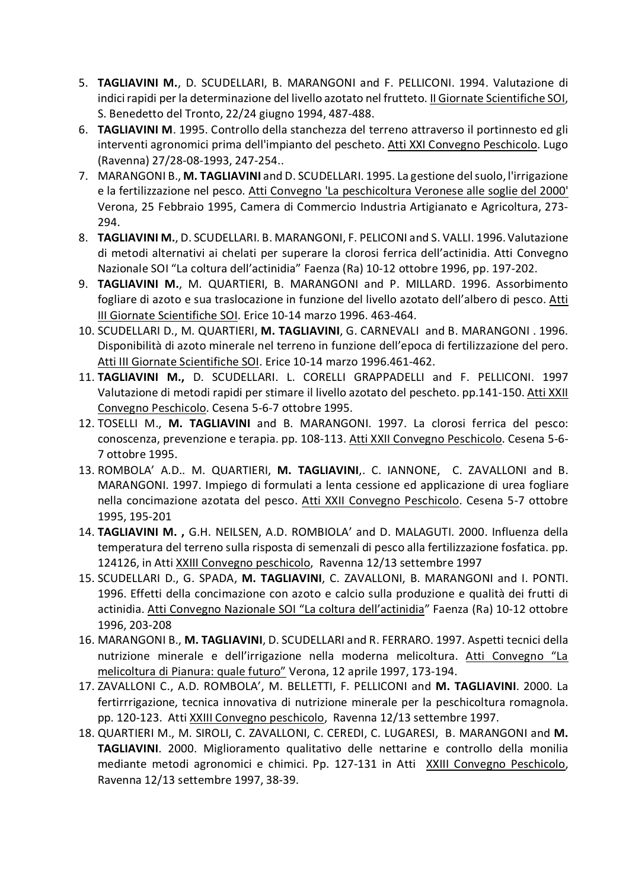- 5. **TAGLIAVINI M.**, D. SCUDELLARI, B. MARANGONI and F. PELLICONI. 1994. Valutazione di indici rapidi per la determinazione del livello azotato nel frutteto. II Giornate Scientifiche SOI, S. Benedetto del Tronto, 22/24 giugno 1994, 487-488.
- 6. **TAGLIAVINI M**. 1995. Controllo della stanchezza del terreno attraverso il portinnesto ed gli interventi agronomici prima dell'impianto del pescheto. Atti XXI Convegno Peschicolo. Lugo (Ravenna) 27/28-08-1993, 247-254..
- 7. MARANGONI B., **M. TAGLIAVINI** and D. SCUDELLARI. 1995. La gestione del suolo, l'irrigazione e la fertilizzazione nel pesco. Atti Convegno 'La peschicoltura Veronese alle soglie del 2000' Verona, 25 Febbraio 1995, Camera di Commercio Industria Artigianato e Agricoltura, 273- 294.
- 8. **TAGLIAVINI M.**, D. SCUDELLARI. B. MARANGONI, F. PELICONI and S. VALLI. 1996. Valutazione di metodi alternativi ai chelati per superare la clorosi ferrica dell'actinidia. Atti Convegno Nazionale SOI "La coltura dell'actinidia" Faenza (Ra) 10-12 ottobre 1996, pp. 197-202.
- 9. **TAGLIAVINI M.**, M. QUARTIERI, B. MARANGONI and P. MILLARD. 1996. Assorbimento fogliare di azoto e sua traslocazione in funzione del livello azotato dell'albero di pesco. Atti III Giornate Scientifiche SOI. Erice 10-14 marzo 1996. 463-464.
- 10. SCUDELLARI D., M. QUARTIERI, **M. TAGLIAVINI**, G. CARNEVALI and B. MARANGONI . 1996. Disponibilità di azoto minerale nel terreno in funzione dell'epoca di fertilizzazione del pero. Atti III Giornate Scientifiche SOI. Erice 10-14 marzo 1996.461-462.
- 11. **TAGLIAVINI M.,** D. SCUDELLARI. L. CORELLI GRAPPADELLI and F. PELLICONI. 1997 Valutazione di metodi rapidi per stimare il livello azotato del pescheto. pp.141-150. Atti XXII Convegno Peschicolo. Cesena 5-6-7 ottobre 1995.
- 12. TOSELLI M., **M. TAGLIAVINI** and B. MARANGONI. 1997. La clorosi ferrica del pesco: conoscenza, prevenzione e terapia. pp. 108-113. Atti XXII Convegno Peschicolo. Cesena 5-6- 7 ottobre 1995.
- 13. ROMBOLA' A.D.. M. QUARTIERI, **M. TAGLIAVINI**,. C. IANNONE, C. ZAVALLONI and B. MARANGONI. 1997. Impiego di formulati a lenta cessione ed applicazione di urea fogliare nella concimazione azotata del pesco. Atti XXII Convegno Peschicolo. Cesena 5-7 ottobre 1995, 195-201
- 14. **TAGLIAVINI M. ,** G.H. NEILSEN, A.D. ROMBIOLA' and D. MALAGUTI. 2000. Influenza della temperatura del terreno sulla risposta di semenzali di pesco alla fertilizzazione fosfatica. pp. 124126, in Atti XXIII Convegno peschicolo, Ravenna 12/13 settembre 1997
- 15. SCUDELLARI D., G. SPADA, **M. TAGLIAVINI**, C. ZAVALLONI, B. MARANGONI and I. PONTI. 1996. Effetti della concimazione con azoto e calcio sulla produzione e qualità dei frutti di actinidia. Atti Convegno Nazionale SOI "La coltura dell'actinidia" Faenza (Ra) 10-12 ottobre 1996, 203-208
- 16. MARANGONI B., **M. TAGLIAVINI**, D. SCUDELLARI and R. FERRARO. 1997. Aspetti tecnici della nutrizione minerale e dell'irrigazione nella moderna melicoltura. Atti Convegno "La melicoltura di Pianura: quale futuro" Verona, 12 aprile 1997, 173-194.
- 17. ZAVALLONI C., A.D. ROMBOLA', M. BELLETTI, F. PELLICONI and **M. TAGLIAVINI**. 2000. La fertirrrigazione, tecnica innovativa di nutrizione minerale per la peschicoltura romagnola. pp. 120-123. Atti XXIII Convegno peschicolo, Ravenna 12/13 settembre 1997.
- 18. QUARTIERI M., M. SIROLI, C. ZAVALLONI, C. CEREDI, C. LUGARESI, B. MARANGONI and **M. TAGLIAVINI**. 2000. Miglioramento qualitativo delle nettarine e controllo della monilia mediante metodi agronomici e chimici. Pp. 127-131 in Atti XXIII Convegno Peschicolo, Ravenna 12/13 settembre 1997, 38-39.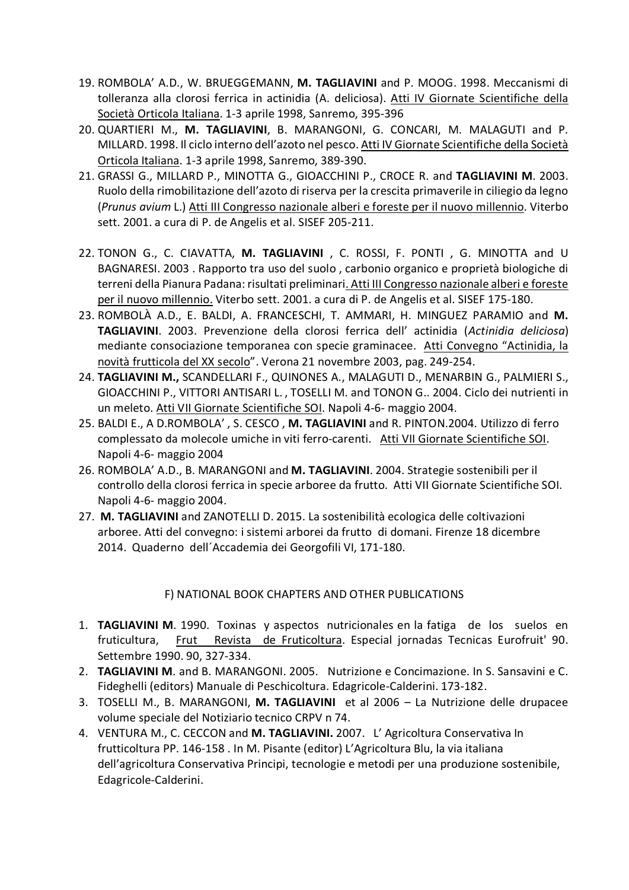- 19. ROMBOLA' A.D., W. BRUEGGEMANN, **M. TAGLIAVINI** and P. MOOG. 1998. Meccanismi di tolleranza alla clorosi ferrica in actinidia (A. deliciosa). Atti IV Giornate Scientifiche della Società Orticola Italiana. 1-3 aprile 1998, Sanremo, 395-396
- 20. QUARTIERI M., **M. TAGLIAVINI**, B. MARANGONI, G. CONCARI, M. MALAGUTI and P. MILLARD. 1998. Il ciclo interno dell'azoto nel pesco. Atti IV Giornate Scientifiche della Società Orticola Italiana. 1-3 aprile 1998, Sanremo, 389-390.
- 21. GRASSI G., MILLARD P., MINOTTA G., GIOACCHINI P., CROCE R. and **TAGLIAVINI M**. 2003. Ruolo della rimobilitazione dell'azoto di riserva per la crescita primaverile in ciliegio da legno (*Prunus avium* L.) Atti III Congresso nazionale alberi e foreste per il nuovo millennio. Viterbo sett. 2001. a cura di P. de Angelis et al. SISEF 205-211.
- 22. TONON G., C. CIAVATTA, **M. TAGLIAVINI** , C. ROSSI, F. PONTI , G. MINOTTA and U BAGNARESI. 2003 . Rapporto tra uso del suolo , carbonio organico e proprietà biologiche di terreni della Pianura Padana: risultati preliminari. Atti III Congresso nazionale alberi e foreste per il nuovo millennio. Viterbo sett. 2001. a cura di P. de Angelis et al. SISEF 175-180.
- 23. ROMBOLÀ A.D., E. BALDI, A. FRANCESCHI, T. AMMARI, H. MINGUEZ PARAMIO and **M. TAGLIAVINI**. 2003. Prevenzione della clorosi ferrica dell' actinidia (*Actinidia deliciosa*) mediante consociazione temporanea con specie graminacee. Atti Convegno "Actinidia, la novità frutticola del XX secolo". Verona 21 novembre 2003, pag. 249-254.
- 24. **TAGLIAVINI M.,** SCANDELLARI F., QUINONES A., MALAGUTI D., MENARBIN G., PALMIERI S., GIOACCHINI P., VITTORI ANTISARI L. , TOSELLI M. and TONON G.. 2004. Ciclo dei nutrienti in un meleto. Atti VII Giornate Scientifiche SOI. Napoli 4-6- maggio 2004.
- 25. BALDI E., A D.ROMBOLA' , S. CESCO , **M. TAGLIAVINI** and R. PINTON.2004. Utilizzo di ferro complessato da molecole umiche in viti ferro-carenti. Atti VII Giornate Scientifiche SOI. Napoli 4-6- maggio 2004
- 26. ROMBOLA' A.D., B. MARANGONI and **M. TAGLIAVINI**. 2004. Strategie sostenibili per il controllo della clorosi ferrica in specie arboree da frutto. Atti VII Giornate Scientifiche SOI. Napoli 4-6- maggio 2004.
- 27. **M. TAGLIAVINI** and ZANOTELLI D. 2015. La sostenibilità ecologica delle coltivazioni arboree. Atti del convegno: i sistemi arborei da frutto di domani. Firenze 18 dicembre 2014. Quaderno dell´Accademia dei Georgofili VI, 171-180.

## F) NATIONAL BOOK CHAPTERS AND OTHER PUBLICATIONS

- 1. **TAGLIAVINI M**. 1990. Toxinas y aspectos nutricionales en la fatiga de los suelos en fruticultura, Frut Revista de Fruticoltura. Especial jornadas Tecnicas Eurofruit' 90. Settembre 1990. 90, 327-334.
- 2. **TAGLIAVINI M**. and B. MARANGONI. 2005. Nutrizione e Concimazione. In S. Sansavini e C. Fideghelli (editors) Manuale di Peschicoltura. Edagricole-Calderini. 173-182.
- 3. TOSELLI M., B. MARANGONI, **M. TAGLIAVINI** et al 2006 La Nutrizione delle drupacee volume speciale del Notiziario tecnico CRPV n 74.
- 4. VENTURA M., C. CECCON and **M. TAGLIAVINI.** 2007. L' Agricoltura Conservativa In frutticoltura PP. 146-158 . In M. Pisante (editor) L'Agricoltura Blu, la via italiana dell'agricoltura Conservativa Principi, tecnologie e metodi per una produzione sostenibile, Edagricole-Calderini.